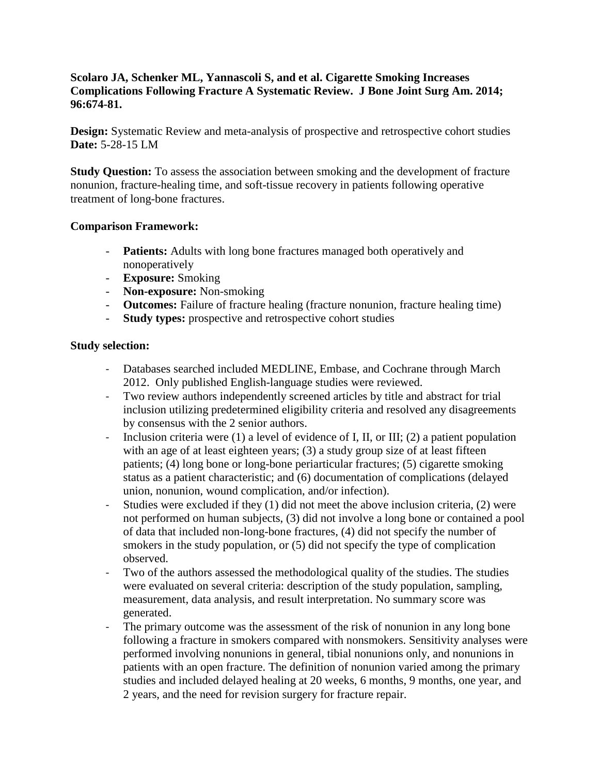### **Scolaro JA, Schenker ML, Yannascoli S, and et al. Cigarette Smoking Increases Complications Following Fracture A Systematic Review. J Bone Joint Surg Am. 2014; 96:674-81.**

**Design:** Systematic Review and meta-analysis of prospective and retrospective cohort studies **Date:** 5-28-15 LM

**Study Question:** To assess the association between smoking and the development of fracture nonunion, fracture-healing time, and soft-tissue recovery in patients following operative treatment of long-bone fractures.

#### **Comparison Framework:**

- **Patients:** Adults with long bone fractures managed both operatively and nonoperatively
- **Exposure:** Smoking
- **Non-exposure:** Non-smoking
- **Outcomes:** Failure of fracture healing (fracture nonunion, fracture healing time)
- **Study types:** prospective and retrospective cohort studies

#### **Study selection:**

- Databases searched included MEDLINE, Embase, and Cochrane through March 2012. Only published English-language studies were reviewed.
- Two review authors independently screened articles by title and abstract for trial inclusion utilizing predetermined eligibility criteria and resolved any disagreements by consensus with the 2 senior authors.
- Inclusion criteria were (1) a level of evidence of I, II, or III; (2) a patient population with an age of at least eighteen years; (3) a study group size of at least fifteen patients; (4) long bone or long-bone periarticular fractures; (5) cigarette smoking status as a patient characteristic; and (6) documentation of complications (delayed union, nonunion, wound complication, and/or infection).
- Studies were excluded if they (1) did not meet the above inclusion criteria, (2) were not performed on human subjects, (3) did not involve a long bone or contained a pool of data that included non-long-bone fractures, (4) did not specify the number of smokers in the study population, or (5) did not specify the type of complication observed.
- Two of the authors assessed the methodological quality of the studies. The studies were evaluated on several criteria: description of the study population, sampling, measurement, data analysis, and result interpretation. No summary score was generated.
- The primary outcome was the assessment of the risk of nonunion in any long bone following a fracture in smokers compared with nonsmokers. Sensitivity analyses were performed involving nonunions in general, tibial nonunions only, and nonunions in patients with an open fracture. The definition of nonunion varied among the primary studies and included delayed healing at 20 weeks, 6 months, 9 months, one year, and 2 years, and the need for revision surgery for fracture repair.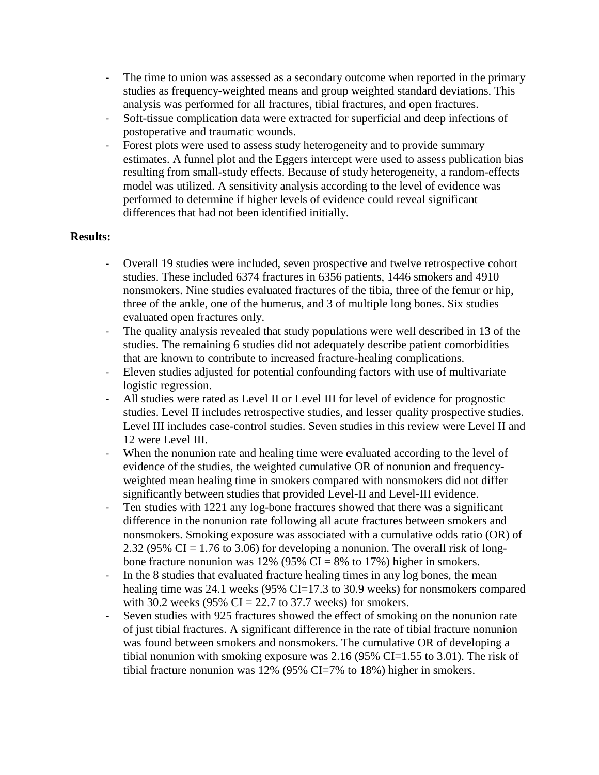- The time to union was assessed as a secondary outcome when reported in the primary studies as frequency-weighted means and group weighted standard deviations. This analysis was performed for all fractures, tibial fractures, and open fractures.
- Soft-tissue complication data were extracted for superficial and deep infections of postoperative and traumatic wounds.
- Forest plots were used to assess study heterogeneity and to provide summary estimates. A funnel plot and the Eggers intercept were used to assess publication bias resulting from small-study effects. Because of study heterogeneity, a random-effects model was utilized. A sensitivity analysis according to the level of evidence was performed to determine if higher levels of evidence could reveal significant differences that had not been identified initially.

## **Results:**

- Overall 19 studies were included, seven prospective and twelve retrospective cohort studies. These included 6374 fractures in 6356 patients, 1446 smokers and 4910 nonsmokers. Nine studies evaluated fractures of the tibia, three of the femur or hip, three of the ankle, one of the humerus, and 3 of multiple long bones. Six studies evaluated open fractures only.
- The quality analysis revealed that study populations were well described in 13 of the studies. The remaining 6 studies did not adequately describe patient comorbidities that are known to contribute to increased fracture-healing complications.
- Eleven studies adjusted for potential confounding factors with use of multivariate logistic regression.
- All studies were rated as Level II or Level III for level of evidence for prognostic studies. Level II includes retrospective studies, and lesser quality prospective studies. Level III includes case-control studies. Seven studies in this review were Level II and 12 were Level III.
- When the nonunion rate and healing time were evaluated according to the level of evidence of the studies, the weighted cumulative OR of nonunion and frequencyweighted mean healing time in smokers compared with nonsmokers did not differ significantly between studies that provided Level-II and Level-III evidence.
- Ten studies with 1221 any log-bone fractures showed that there was a significant difference in the nonunion rate following all acute fractures between smokers and nonsmokers. Smoking exposure was associated with a cumulative odds ratio (OR) of 2.32 (95% CI = 1.76 to 3.06) for developing a nonunion. The overall risk of longbone fracture nonunion was 12% (95% CI = 8% to 17%) higher in smokers.
- In the 8 studies that evaluated fracture healing times in any log bones, the mean healing time was 24.1 weeks (95% CI=17.3 to 30.9 weeks) for nonsmokers compared with 30.2 weeks (95% CI = 22.7 to 37.7 weeks) for smokers.
- Seven studies with 925 fractures showed the effect of smoking on the nonunion rate of just tibial fractures. A significant difference in the rate of tibial fracture nonunion was found between smokers and nonsmokers. The cumulative OR of developing a tibial nonunion with smoking exposure was 2.16 (95% CI=1.55 to 3.01). The risk of tibial fracture nonunion was 12% (95% CI=7% to 18%) higher in smokers.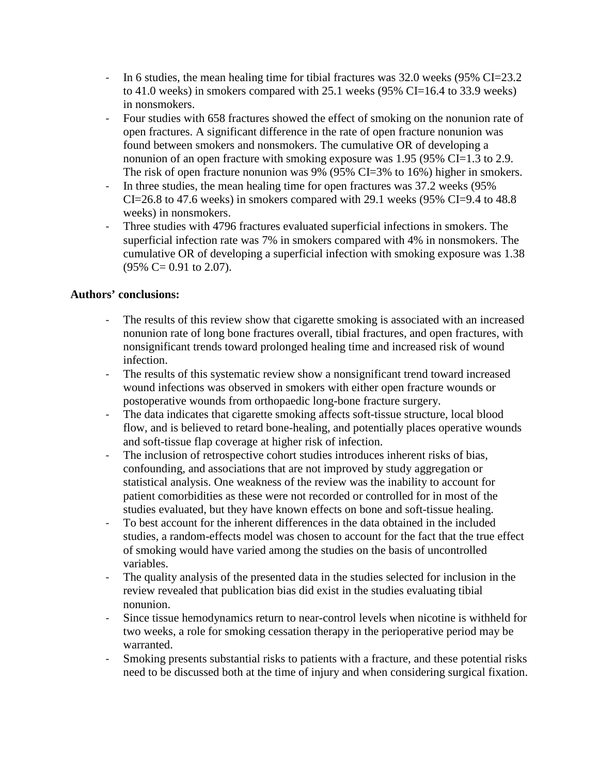- In 6 studies, the mean healing time for tibial fractures was 32.0 weeks (95% CI=23.2) to 41.0 weeks) in smokers compared with 25.1 weeks (95% CI=16.4 to 33.9 weeks) in nonsmokers.
- Four studies with 658 fractures showed the effect of smoking on the nonunion rate of open fractures. A significant difference in the rate of open fracture nonunion was found between smokers and nonsmokers. The cumulative OR of developing a nonunion of an open fracture with smoking exposure was 1.95 (95% CI=1.3 to 2.9. The risk of open fracture nonunion was 9% (95% CI=3% to 16%) higher in smokers.
- In three studies, the mean healing time for open fractures was 37.2 weeks (95%  $CI = 26.8$  to 47.6 weeks) in smokers compared with 29.1 weeks (95% CI=9.4 to 48.8 weeks) in nonsmokers.
- Three studies with 4796 fractures evaluated superficial infections in smokers. The superficial infection rate was 7% in smokers compared with 4% in nonsmokers. The cumulative OR of developing a superficial infection with smoking exposure was 1.38  $(95\% \text{ C} = 0.91 \text{ to } 2.07).$

## **Authors' conclusions:**

- The results of this review show that cigarette smoking is associated with an increased nonunion rate of long bone fractures overall, tibial fractures, and open fractures, with nonsignificant trends toward prolonged healing time and increased risk of wound infection.
- The results of this systematic review show a nonsignificant trend toward increased wound infections was observed in smokers with either open fracture wounds or postoperative wounds from orthopaedic long-bone fracture surgery.
- The data indicates that cigarette smoking affects soft-tissue structure, local blood flow, and is believed to retard bone-healing, and potentially places operative wounds and soft-tissue flap coverage at higher risk of infection.
- The inclusion of retrospective cohort studies introduces inherent risks of bias, confounding, and associations that are not improved by study aggregation or statistical analysis. One weakness of the review was the inability to account for patient comorbidities as these were not recorded or controlled for in most of the studies evaluated, but they have known effects on bone and soft-tissue healing.
- To best account for the inherent differences in the data obtained in the included studies, a random-effects model was chosen to account for the fact that the true effect of smoking would have varied among the studies on the basis of uncontrolled variables.
- The quality analysis of the presented data in the studies selected for inclusion in the review revealed that publication bias did exist in the studies evaluating tibial nonunion.
- Since tissue hemodynamics return to near-control levels when nicotine is withheld for two weeks, a role for smoking cessation therapy in the perioperative period may be warranted.
- Smoking presents substantial risks to patients with a fracture, and these potential risks need to be discussed both at the time of injury and when considering surgical fixation.